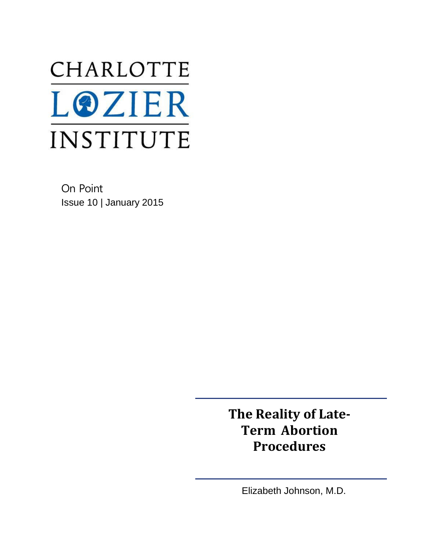# CHARLOTTE **LOZIER** INSTITUTE

On Point Issue 10 | January 2015

> **The Reality of Late-Term Abortion Procedures**

> > Elizabeth Johnson, M.D.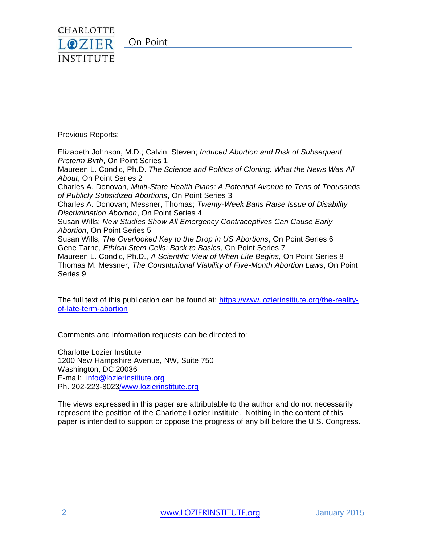

Previous Reports:

Elizabeth Johnson, M.D.; Calvin, Steven; *Induced Abortion and Risk of Subsequent Preterm Birth*, On Point Series 1 Maureen L. Condic, Ph.D. *The Science and Politics of Cloning: What the News Was All About*, On Point Series 2 Charles A. Donovan, *Multi-State Health Plans: A Potential Avenue to Tens of Thousands of Publicly Subsidized Abortions*, On Point Series 3 Charles A. Donovan; Messner, Thomas; *Twenty-Week Bans Raise Issue of Disability Discrimination Abortion*, On Point Series 4 Susan Wills; *New Studies Show All Emergency Contraceptives Can Cause Early Abortion*, On Point Series 5 Susan Wills, *The Overlooked Key to the Drop in US Abortions*, On Point Series 6 Gene Tarne, *Ethical Stem Cells: Back to Basics*, On Point Series 7 Maureen L. Condic, Ph.D., *A Scientific View of When Life Begins,* On Point Series 8 Thomas M. Messner, *The Constitutional Viability of Five-Month Abortion Laws*, On Point Series 9

The full text of this publication can be found at: [https://www.lozierinstitute.org/the-reality](https://www.lozierinstitute.org/the-reality-of-late-term-abortion)[of-late-term-abortion](https://www.lozierinstitute.org/the-reality-of-late-term-abortion)

Comments and information requests can be directed to:

Charlotte Lozier Institute 1200 New Hampshire Avenue, NW, Suite 750 Washington, DC 20036 E-mail: [info@lozierinstitute.org](mailto:info@lozierinstitute.org) Ph. 202-223-802[3/www.lozierinstitute.org](http://www.lozierinstitute.org/)

The views expressed in this paper are attributable to the author and do not necessarily represent the position of the Charlotte Lozier Institute. Nothing in the content of this paper is intended to support or oppose the progress of any bill before the U.S. Congress.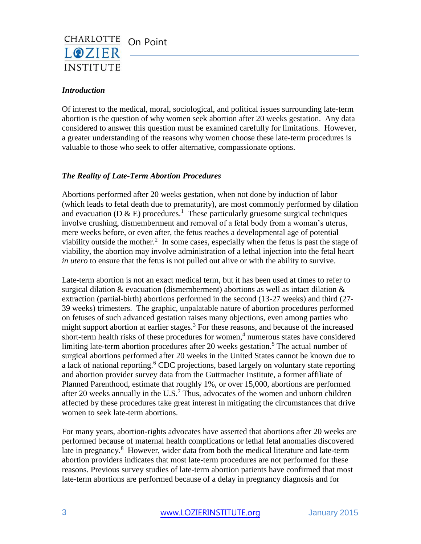

### *Introduction*

Of interest to the medical, moral, sociological, and political issues surrounding late-term abortion is the question of why women seek abortion after 20 weeks gestation. Any data considered to answer this question must be examined carefully for limitations. However, a greater understanding of the reasons why women choose these late-term procedures is valuable to those who seek to offer alternative, compassionate options.

#### *The Reality of Late-Term Abortion Procedures*

Abortions performed after 20 weeks gestation, when not done by induction of labor (which leads to fetal death due to prematurity), are most commonly performed by dilation and evacuation (D  $\&$  E) procedures.<sup>1</sup> These particularly gruesome surgical techniques involve crushing, dismemberment and removal of a fetal body from a woman's uterus, mere weeks before, or even after, the fetus reaches a developmental age of potential viability outside the mother.<sup>2</sup> In some cases, especially when the fetus is past the stage of viability, the abortion may involve administration of a lethal injection into the fetal heart *in utero* to ensure that the fetus is not pulled out alive or with the ability to survive.

Late-term abortion is not an exact medical term, but it has been used at times to refer to surgical dilation  $&$  evacuation (dismemberment) abortions as well as intact dilation  $&$ extraction (partial-birth) abortions performed in the second (13-27 weeks) and third (27- 39 weeks) trimesters. The graphic, unpalatable nature of abortion procedures performed on fetuses of such advanced gestation raises many objections, even among parties who might support abortion at earlier stages.<sup>3</sup> For these reasons, and because of the increased short-term health risks of these procedures for women, $4$  numerous states have considered limiting late-term abortion procedures after 20 weeks gestation.<sup>5</sup> The actual number of surgical abortions performed after 20 weeks in the United States cannot be known due to a lack of national reporting.<sup>6</sup> CDC projections, based largely on voluntary state reporting and abortion provider survey data from the Guttmacher Institute, a former affiliate of Planned Parenthood, estimate that roughly 1%, or over 15,000, abortions are performed after 20 weeks annually in the U.S.<sup>7</sup> Thus, advocates of the women and unborn children affected by these procedures take great interest in mitigating the circumstances that drive women to seek late-term abortions.

For many years, abortion-rights advocates have asserted that abortions after 20 weeks are performed because of maternal health complications or lethal fetal anomalies discovered late in pregnancy.<sup>8</sup> However, wider data from both the medical literature and late-term abortion providers indicates that most late-term procedures are not performed for these reasons. Previous survey studies of late-term abortion patients have confirmed that most late-term abortions are performed because of a delay in pregnancy diagnosis and for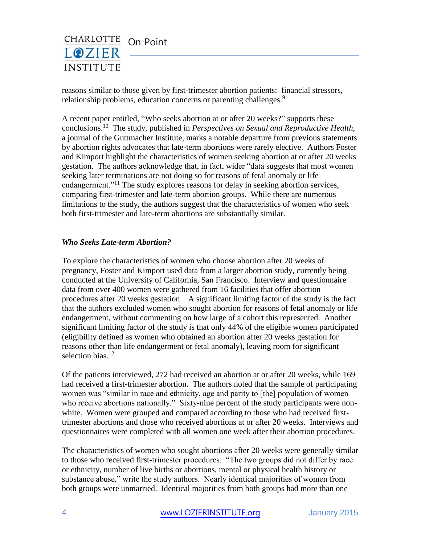

reasons similar to those given by first-trimester abortion patients: financial stressors, relationship problems, education concerns or parenting challenges.<sup>9</sup>

A recent paper entitled, "Who seeks abortion at or after 20 weeks?" supports these conclusions.<sup>10</sup> The study, published in *Perspectives on Sexual and Reproductive Health,*  a journal of the Guttmacher Institute, marks a notable departure from previous statements by abortion rights advocates that late-term abortions were rarely elective. Authors Foster and Kimport highlight the characteristics of women seeking abortion at or after 20 weeks gestation. The authors acknowledge that, in fact, wider "data suggests that most women seeking later terminations are not doing so for reasons of fetal anomaly or life endangerment."<sup>11</sup> The study explores reasons for delay in seeking abortion services, comparing first-trimester and late-term abortion groups. While there are numerous limitations to the study, the authors suggest that the characteristics of women who seek both first-trimester and late-term abortions are substantially similar.

#### *Who Seeks Late-term Abortion?*

To explore the characteristics of women who choose abortion after 20 weeks of pregnancy, Foster and Kimport used data from a larger abortion study, currently being conducted at the University of California, San Francisco. Interview and questionnaire data from over 400 women were gathered from 16 facilities that offer abortion procedures after 20 weeks gestation. A significant limiting factor of the study is the fact that the authors excluded women who sought abortion for reasons of fetal anomaly or life endangerment, without commenting on how large of a cohort this represented. Another significant limiting factor of the study is that only 44% of the eligible women participated (eligibility defined as women who obtained an abortion after 20 weeks gestation for reasons other than life endangerment or fetal anomaly), leaving room for significant selection bias.<sup>12</sup>

Of the patients interviewed, 272 had received an abortion at or after 20 weeks, while 169 had received a first-trimester abortion. The authors noted that the sample of participating women was "similar in race and ethnicity, age and parity to [the] population of women who receive abortions nationally." Sixty-nine percent of the study participants were nonwhite. Women were grouped and compared according to those who had received firsttrimester abortions and those who received abortions at or after 20 weeks. Interviews and questionnaires were completed with all women one week after their abortion procedures.

The characteristics of women who sought abortions after 20 weeks were generally similar to those who received first-trimester procedures. "The two groups did not differ by race or ethnicity, number of live births or abortions, mental or physical health history or substance abuse," write the study authors. Nearly identical majorities of women from both groups were unmarried. Identical majorities from both groups had more than one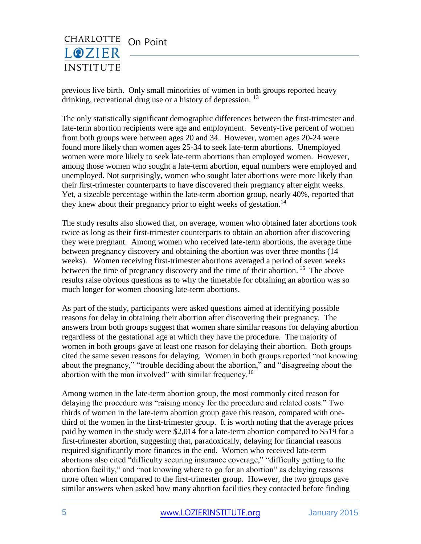

previous live birth. Only small minorities of women in both groups reported heavy drinking, recreational drug use or a history of depression.  $^{13}$ 

The only statistically significant demographic differences between the first-trimester and late-term abortion recipients were age and employment. Seventy-five percent of women from both groups were between ages 20 and 34. However, women ages 20-24 were found more likely than women ages 25-34 to seek late-term abortions. Unemployed women were more likely to seek late-term abortions than employed women. However, among those women who sought a late-term abortion, equal numbers were employed and unemployed. Not surprisingly, women who sought later abortions were more likely than their first-trimester counterparts to have discovered their pregnancy after eight weeks. Yet, a sizeable percentage within the late-term abortion group, nearly 40%, reported that they knew about their pregnancy prior to eight weeks of gestation.<sup>14</sup>

The study results also showed that, on average, women who obtained later abortions took twice as long as their first-trimester counterparts to obtain an abortion after discovering they were pregnant. Among women who received late-term abortions, the average time between pregnancy discovery and obtaining the abortion was over three months (14 weeks). Women receiving first-trimester abortions averaged a period of seven weeks between the time of pregnancy discovery and the time of their abortion.<sup>15</sup> The above results raise obvious questions as to why the timetable for obtaining an abortion was so much longer for women choosing late-term abortions.

As part of the study, participants were asked questions aimed at identifying possible reasons for delay in obtaining their abortion after discovering their pregnancy. The answers from both groups suggest that women share similar reasons for delaying abortion regardless of the gestational age at which they have the procedure. The majority of women in both groups gave at least one reason for delaying their abortion. Both groups cited the same seven reasons for delaying. Women in both groups reported "not knowing about the pregnancy," "trouble deciding about the abortion," and "disagreeing about the abortion with the man involved" with similar frequency.<sup>16</sup>

Among women in the late-term abortion group, the most commonly cited reason for delaying the procedure was "raising money for the procedure and related costs." Two thirds of women in the late-term abortion group gave this reason, compared with onethird of the women in the first-trimester group. It is worth noting that the average prices paid by women in the study were \$2,014 for a late-term abortion compared to \$519 for a first-trimester abortion, suggesting that, paradoxically, delaying for financial reasons required significantly more finances in the end. Women who received late-term abortions also cited "difficulty securing insurance coverage," "difficulty getting to the abortion facility," and "not knowing where to go for an abortion" as delaying reasons more often when compared to the first-trimester group. However, the two groups gave similar answers when asked how many abortion facilities they contacted before finding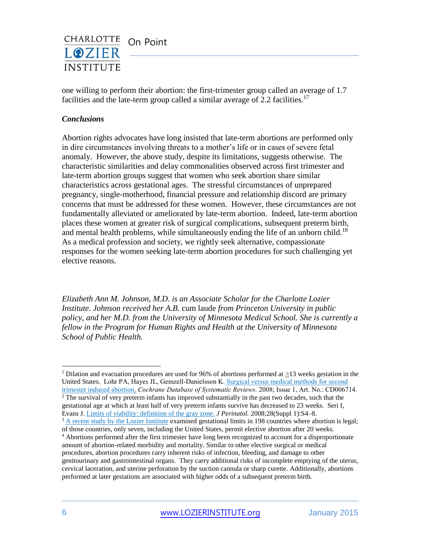

one willing to perform their abortion: the first-trimester group called an average of 1.7 facilities and the late-term group called a similar average of 2.2 facilities.<sup>17</sup>

#### *Conclusions*

Abortion rights advocates have long insisted that late-term abortions are performed only in dire circumstances involving threats to a mother's life or in cases of severe fetal anomaly. However, the above study, despite its limitations, suggests otherwise. The characteristic similarities and delay commonalities observed across first trimester and late-term abortion groups suggest that women who seek abortion share similar characteristics across gestational ages. The stressful circumstances of unprepared pregnancy, single-motherhood, financial pressure and relationship discord are primary concerns that must be addressed for these women. However, these circumstances are not fundamentally alleviated or ameliorated by late-term abortion. Indeed, late-term abortion places these women at greater risk of surgical complications, subsequent preterm birth, and mental health problems, while simultaneously ending the life of an unborn child.<sup>18</sup> As a medical profession and society, we rightly seek alternative, compassionate responses for the women seeking late-term abortion procedures for such challenging yet elective reasons.

*Elizabeth Ann M. Johnson, M.D. is an Associate Scholar for the Charlotte Lozier Institute. Johnson received her A.B.* cum laude *from Princeton University in public policy, and her M.D. from the University of Minnesota Medical School. She is currently a fellow in the Program for Human Rights and Health at the University of Minnesota School of Public Health.*

 $\overline{a}$ 

<sup>&</sup>lt;sup>1</sup> Dilation and evacuation procedures are used for 96% of abortions performed at  $>13$  weeks gestation in the United States. Lohr PA, Hayes JL, Gemzell-Danielsson K[. Surgical versus medical methods for second](http://apps.who.int/rhl/reviews/CD006714.pdf)  [trimester induced abortion.](http://apps.who.int/rhl/reviews/CD006714.pdf) *Cochrane Database of Systematic Reviews.* 2008; Issue 1, Art. No.: CD006714.  $<sup>2</sup>$  The survival of very preterm infants has improved substantially in the past two decades, such that the</sup> gestational age at which at least half of very preterm infants survive has decreased to 23 weeks. Seri I, Evans J. [Limits of viability: definition of the gray zone.](http://www.nature.com/jp/journal/v28/n1s/full/jp200842a.html) *J Perinatol.* 2008;28(Suppl 1):S4–8. <sup>3</sup> [A recent study by the Lozier Institute](http://www.lozierinstitute.org/internationalabortionnorms/) examined gestational limits in 198 countries where abortion is legal; of those countries, only seven, including the United States, permit elective abortion after 20 weeks. <sup>4</sup> Abortions performed after the first trimester have long been recognized to account for a disproportionate amount of abortion-related morbidity and mortality. Similar to other elective surgical or medical procedures, abortion procedures carry inherent risks of infection, bleeding, and damage to other genitourinary and gastrointestinal organs. They carry additional risks of incomplete emptying of the uterus,

cervical laceration, and uterine perforation by the suction cannula or sharp curette. Additionally, abortions performed at later gestations are associated with higher odds of a subsequent preterm birth.